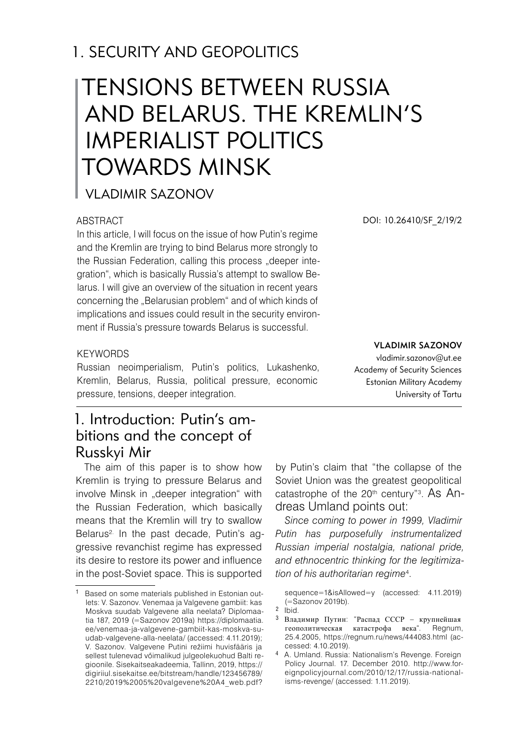## 1. SECURITY AND GEOPOLITICS

# TENSIONS BETWEEN RUSSIA AND BELARUS. THE KREMLIN'S IMPERIALIST POLITICS TOWARDS MINSK

Vladimir Sazonov

#### ABSTRACT

In this article, I will focus on the issue of how Putin's regime and the Kremlin are trying to bind Belarus more strongly to the Russian Federation, calling this process "deeper integration", which is basically Russia's attempt to swallow Belarus. I will give an overview of the situation in recent years concerning the "Belarusian problem" and of which kinds of implications and issues could result in the security environment if Russia's pressure towards Belarus is successful.

DOI: 10.26410/SF\_2/19/2

#### **KEYWORDS**

Russian neoimperialism, Putin's politics, Lukashenko, Kremlin, Belarus, Russia, political pressure, economic pressure, tensions, deeper integration.

#### Vladimir Sazonov vladimir.sazonov@ut.ee

Academy of Security Sciences Estonian Military Academy University of Tartu

## 1. Introduction: Putin's ambitions and the concept of Russkyi Mir

The aim of this paper is to show how Kremlin is trying to pressure Belarus and involve Minsk in "deeper integration" with the Russian Federation, which basically means that the Kremlin will try to swallow Belarus<sup>2</sup>. In the past decade, Putin's aggressive revanchist regime has expressed its desire to restore its power and influence in the post-Soviet space. This is supported

by Putin's claim that "the collapse of the Soviet Union was the greatest geopolitical catastrophe of the 20<sup>th</sup> century"<sup>3</sup>. As Andreas Umland points out:

*Since coming to power in 1999, Vladimir Putin has purposefully instrumentalized Russian imperial nostalgia, national pride, and ethnocentric thinking for the legitimization of his authoritarian regime*<sup>4</sup> .

sequence=1&isAllowed=y (accessed: 4.11.2019) (=Sazonov 2019b).

<sup>3</sup> Владимир Путин: "Распад СССР – крупнейшая геополитическая катастрофа века". Regnum, 25.4.2005, https://regnum.ru/news/444083.html (accessed: 4.10.2019).

<sup>4</sup> A. Umland. Russia: Nationalism's Revenge. Foreign Policy Journal. 17. December 2010. http://www.foreignpolicyjournal.com/2010/12/17/russia-nationalisms-revenge/ (accessed: 1.11.2019).

<sup>1</sup> Based on some materials published in Estonian outlets: V. Sazonov. Venemaa ja Valgevene gambiit: kas Moskva suudab Valgevene alla neelata? Diplomaatia 187, 2019 (=Sazonov 2019a) https://diplomaatia. ee/venemaa-ja-valgevene-gambiit-kas-moskva-suudab-valgevene-alla-neelata/ (accessed: 4.11.2019); V. Sazonov. Valgevene Putini režiimi huvisfääris ja sellest tulenevad vőimalikud julgeolekuohud Balti regioonile. Sisekaitseakadeemia, Tallinn, 2019, https:// digiriiul.sisekaitse.ee/bitstream/handle/123456789/ 2210/2019%2005%20valgevene%20A4\_web.pdf?

<sup>2</sup> Ibid.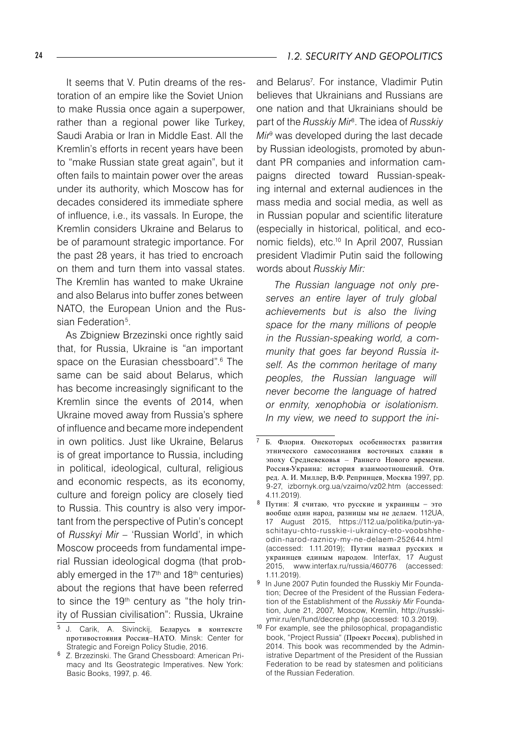It seems that V. Putin dreams of the restoration of an empire like the Soviet Union to make Russia once again a superpower, rather than a regional power like Turkey, Saudi Arabia or Iran in Middle East. All the Kremlin's efforts in recent years have been to "make Russian state great again", but it often fails to maintain power over the areas under its authority, which Moscow has for decades considered its immediate sphere of influence, i.e., its vassals. In Europe, the Kremlin considers Ukraine and Belarus to be of paramount strategic importance. For the past 28 years, it has tried to encroach on them and turn them into vassal states. The Kremlin has wanted to make Ukraine and also Belarus into buffer zones between NATO, the European Union and the Russian Federation<sup>5</sup>.

As Zbigniew Brzezinski once rightly said that, for Russia, Ukraine is "an important space on the Eurasian chessboard".6 The same can be said about Belarus, which has become increasingly significant to the Kremlin since the events of 2014, when Ukraine moved away from Russia's sphere of influence and became more independent in own politics. Just like Ukraine, Belarus is of great importance to Russia, including in political, ideological, cultural, religious and economic respects, as its economy, culture and foreign policy are closely tied to Russia. This country is also very important from the perspective of Putin's concept of *Russkyi Mir –* 'Russian World', in which Moscow proceeds from fundamental imperial Russian ideological dogma (that probably emerged in the  $17<sup>th</sup>$  and  $18<sup>th</sup>$  centuries) about the regions that have been referred to since the 19<sup>th</sup> century as "the holy trinity of Russian civilisation": Russia, Ukraine

and Belarus7 . For instance, Vladimir Putin believes that Ukrainians and Russians are one nation and that Ukrainians should be part of the *Russkiy Mir*<sup>8</sup> . The idea of *Russkiy Mir*<sup>9</sup> was developed during the last decade by Russian ideologists, promoted by abundant PR companies and information campaigns directed toward Russian-speaking internal and external audiences in the mass media and social media, as well as in Russian popular and scientific literature (especially in historical, political, and economic fields), etc.10 In April 2007, Russian president Vladimir Putin said the following words about *Russkiy Mir:*

*The Russian language not only preserves an entire layer of truly global achievements but is also the living space for the many millions of people in the Russian-speaking world, a community that goes far beyond Russia itself. As the common heritage of many peoples, the Russian language will never become the language of hatred or enmity, xenophobia or isolationism. In my view, we need to support the ini-*

 J. Carik, A. Sivinckij, Беларусь в контексте противостояния Россия–НАТО. Minsk: Center for Strategic and Foreign Policy Studie, 2016.

Z. Brzezinski. The Grand Chessboard: American Primacy and Its Geostrategic Imperatives. New York: Basic Books, 1997, p. 46.

Б. Флoрия. Онекоторых особенностях развития этнического самосознания восточных славян в эпоху Средневековья – Раннего Нового времени. Россия-Украина: история взаимоотношений. Отв. ред. А. И. Миллер, В.Ф. Репринцев, Москва 1997, pp. 9-27, izbornyk.org.ua/vzaimo/vz02.htm (accessed: 4.11.2019).

Путин: Я считаю, что русские и украинцы – это вообще один народ, разницы мы не делаем. 112UA, 17 August 2015, https://112.ua/politika/putin-yaschitayu-chto-russkie-i-ukraincy-eto-voobshheodin-narod-raznicy-my-ne-delaem-252644.html (accessed: 1.11.2019); Путин назвал русских и украинцев единым народом. Interfax, 17 August 2015, www.interfax.ru/russia/460776 (accessed: 1.11.2019).

<sup>&</sup>lt;sup>9</sup> In June 2007 Putin founded the Russkiy Mir Foundation; Decree of the President of the Russian Federation of the Establishment of the *Russkiy Mir* Foundation, June 21, 2007, Moscow, Kremlin, http://russkiymir.ru/en/fund/decree.php (accessed: 10.3.2019).

<sup>&</sup>lt;sup>10</sup> For example, see the philosophical, propagandistic book, "Project Russia" (Проект Россия), published in 2014. This book was recommended by the Administrative Department of the President of the Russian Federation to be read by statesmen and politicians of the Russian Federation.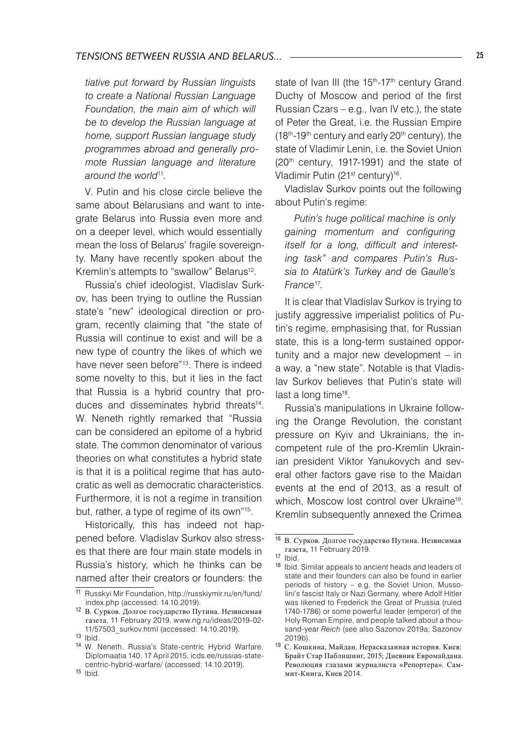*tiative put forward by Russian linguists to create a National Russian Language Foundation, the main aim of which will be to develop the Russian language at home, support Russian language study programmes abroad and generally promote Russian language and literature around the world*<sup>11</sup>*.*

V. Putin and his close circle believe the same about Belarusians and want to integrate Belarus into Russia even more and on a deeper level, which would essentially mean the loss of Belarus' fragile sovereignty. Many have recently spoken about the Kremlin's attempts to "swallow" Belarus<sup>12</sup>.

Russia's chief ideologist, Vladislav Surkov, has been trying to outline the Russian state's "new" ideological direction or program, recently claiming that "the state of Russia will continue to exist and will be a new type of country the likes of which we have never seen before"<sup>13</sup>. There is indeed some novelty to this, but it lies in the fact that Russia is a hybrid country that produces and disseminates hybrid threats<sup>14</sup>. W. Neneth rightly remarked that "Russia can be considered an epitome of a hybrid state. The common denominator of various theories on what constitutes a hybrid state is that it is a political regime that has autocratic as well as democratic characteristics. Furthermore, it is not a regime in transition but, rather, a type of regime of its own"15.

Historically, this has indeed not happened before. Vladislav Surkov also stresses that there are four main state models in Russia's history, which he thinks can be named after their creators or founders: the

state of Ivan III (the 15<sup>th</sup>-17<sup>th</sup> century Grand Duchy of Moscow and period of the first Russian Czars – e.g., Ivan IV etc.), the state of Peter the Great, i.e. the Russian Empire  $(18<sup>th</sup>-19<sup>th</sup>$  century and early 20<sup>th</sup> century), the state of Vladimir Lenin, i.e. the Soviet Union (20th century, 1917-1991) and the state of Vladimir Putin (21<sup>st</sup> century)<sup>16</sup>.

Vladislav Surkov points out the following about Putin's regime:

*Putin's huge political machine is only gaining momentum and configuring itself for a long, difficult and interesting task" and compares Putin's Russia to Atatürk's Turkey and de Gaulle's France*<sup>17</sup>*.* 

It is clear that Vladislav Surkov is trying to justify aggressive imperialist politics of Putin's regime, emphasising that, for Russian state, this is a long-term sustained opportunity and a major new development – in a way, a "new state". Notable is that Vladislav Surkov believes that Putin's state will last a long time<sup>18</sup>.

Russia's manipulations in Ukraine following the Orange Revolution, the constant pressure on Kyiv and Ukrainians, the incompetent rule of the pro-Kremlin Ukrainian president Viktor Yanukovych and several other factors gave rise to the Maidan events at the end of 2013, as a result of which, Moscow lost control over Ukraine<sup>19</sup>. Kremlin subsequently annexed the Crimea

<sup>11</sup> Russkyi Mir Foundation, http://russkiymir.ru/en/fund/ index.php (accessed: 14.10.2019).

<sup>12</sup> B. Сурков. Долгое государство Путина. Незвисимая газета, 11 February 2019, www.ng.ru/ideas/2019-02- 11/57503\_surkov.html (accessed: 14.10.2019).

<sup>13</sup> Ibid.

<sup>14</sup> W. Neneth. Russia's State-centric Hybrid Warfare. Diplomaatia 140, 17 April 2015, icds.ee/russias-statecentric-hybrid-warfare/ (accessed: 14.10.2019).

<sup>15</sup> Ibid.

<sup>16</sup> B. Сурков. Долгое государство Путина. Незвисимая газета, 11 February 2019.

<sup>17</sup> Ibid.

<sup>18</sup> Ibid. Similar appeals to ancient heads and leaders of state and their founders can also be found in earlier periods of history – e.g. the Soviet Union, Mussolini's fascist Italy or Nazi Germany, where Adolf Hitler was likened to Frederick the Great of Prussia (ruled 1740-1786) or some powerful leader (emperor) of the Holy Roman Empire, and people talked about a thousand-year *Reich* (see also Sazonov 2019a; Sazonov 2019b).

<sup>19</sup> C. Кошкина, Майдан. Нерасказанная история. Киев: Брайт Стар Паблишинг, 2015; Дневник Евромайдана. Революция глазами журналиста «Репортера». Саммит-Книга, Киев 2014.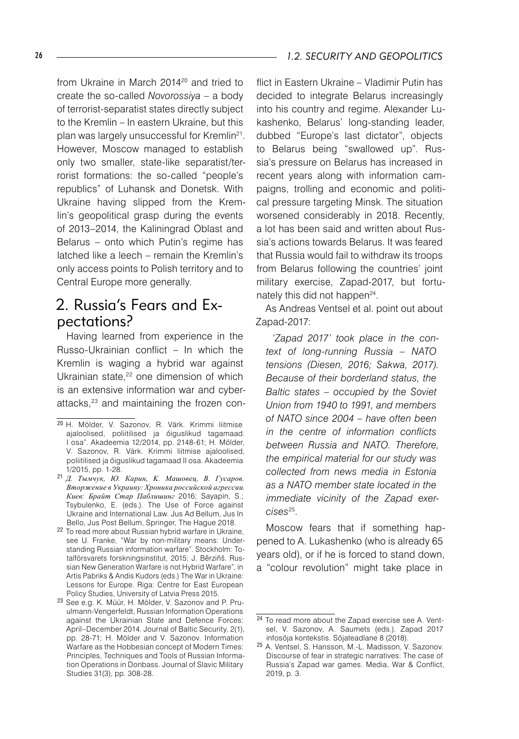from Ukraine in March 2014<sup>20</sup> and tried to create the so-called *Novorossiya* – a body of terrorist-separatist states directly subject to the Kremlin – In eastern Ukraine, but this plan was largely unsuccessful for Kremlin<sup>21</sup>. However, Moscow managed to establish only two smaller, state-like separatist/terrorist formations: the so-called "people's republics" of Luhansk and Donetsk. With Ukraine having slipped from the Kremlin's geopolitical grasp during the events of 2013–2014, the Kaliningrad Oblast and Belarus – onto which Putin's regime has latched like a leech – remain the Kremlin's only access points to Polish territory and to Central Europe more generally.

#### 2. Russia's Fears and Expectations?

Having learned from experience in the Russo-Ukrainian conflict – In which the Kremlin is waging a hybrid war against Ukrainian state.<sup>22</sup> one dimension of which is an extensive information war and cyberattacks,23 and maintaining the frozen conflict in Eastern Ukraine – Vladimir Putin has decided to integrate Belarus increasingly into his country and regime. Alexander Lukashenko, Belarus' long-standing leader, dubbed "Europe's last dictator", objects to Belarus being "swallowed up". Russia's pressure on Belarus has increased in recent years along with information campaigns, trolling and economic and political pressure targeting Minsk. The situation worsened considerably in 2018. Recently, a lot has been said and written about Russia's actions towards Belarus. It was feared that Russia would fail to withdraw its troops from Belarus following the countries' joint military exercise, Zapad-2017, but fortunately this did not happen<sup>24</sup>.

As Andreas Ventsel et al. point out about Zapad-2017:

*'Zapad 2017' took place in the context of long-running Russia – NATO tensions (Diesen, 2016; Sakwa, 2017). Because of their borderland status, the Baltic states – occupied by the Soviet Union from 1940 to 1991, and members of NATO since 2004 – have often been in the centre of information conflicts between Russia and NATO. Therefore, the empirical material for our study was collected from news media in Estonia as a NATO member state located in the immediate vicinity of the Zapad exercises*<sup>25</sup>*.*

Moscow fears that if something happened to A. Lukashenko (who is already 65 years old), or if he is forced to stand down, a "colour revolution" might take place in

<sup>20</sup> H. Mölder, V. Sazonov, R. Värk. Krimmi liitmise ajaloolised, poliitilised ja őiguslikud tagamaad. I osa". Akadeemia 12/2014, pp. 2148-61; H. Mölder, V. Sazonov, R. Värk. Krimmi liitmise ajaloolised, poliitilised ja őiguslikud tagamaad II osa. Akadeemia 1/2015, pp. 1-28.

<sup>21</sup> *Д. Тымчук, Ю. Карин, K. Машовец, B. Гусаров. Вторжение в Украину: Хроника российской агрессии. Киев: Брайт Стар Паблишинг* 2016; Sayapin, S.; Tsybulenko, E. (eds.). The Use of Force against Ukraine and International Law. Jus Ad Bellum, Jus In Bello, Jus Post Bellum, Springer, The Hague 2018.

<sup>22</sup> To read more about Russian hybrid warfare in Ukraine, see U. Franke, "War by non-military means: Understanding Russian information warfare". Stockholm: Totalförsvarets forskningsinstitut, 2015; J. Bērziňš. Russian New Generation Warfare is not Hybrid Warfare", in Artis Pabriks & Andis Kudors (eds.) The War in Ukraine: Lessons for Europe. Riga: Centre for East European Policy Studies, University of Latvia Press 2015.

<sup>23</sup> See e.g. K. Müür, H. Mölder, V. Sazonov and P. Pruulmann-Vengerfeldt, Russian Information Operations against the Ukrainian State and Defence Forces: April–December 2014. Journal of Baltic Security, 2(1), pp. 28-71; H. Mölder and V. Sazonov. Information Warfare as the Hobbesian concept of Modern Times: Principles, Techniques and Tools of Russian Information Operations in Donbass. Journal of Slavic Military Studies 31(3), pp. 308-28.

<sup>24</sup> To read more about the Zapad exercise see A. Ventsel, V. Sazonov, A. Saumets (eds.). Zapad 2017 infosőja kontekstis. Sőjateadlane 8 (2018).

<sup>25</sup> A. Ventsel, S. Hansson, M.-L. Madisson, V. Sazonov. Discourse of fear in strategic narratives: The case of Russia's Zapad war games. Media, War & Conflict, 2019, p. 3.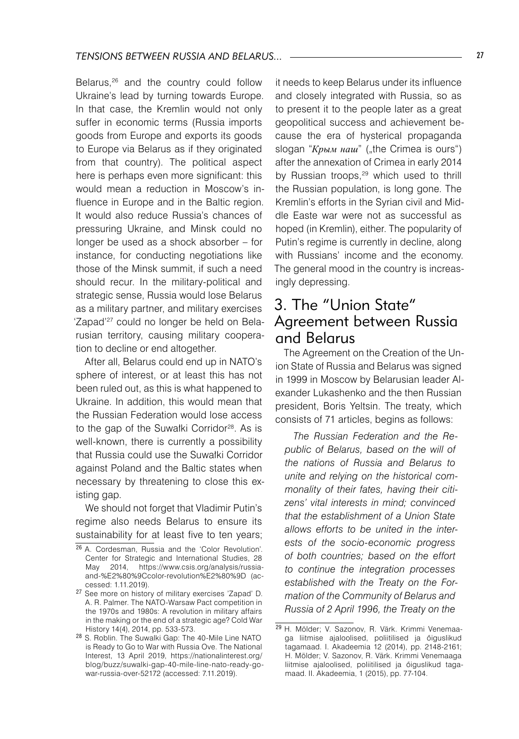Belarus,<sup>26</sup> and the country could follow Ukraine's lead by turning towards Europe. In that case, the Kremlin would not only suffer in economic terms (Russia imports goods from Europe and exports its goods to Europe via Belarus as if they originated from that country). The political aspect here is perhaps even more significant: this would mean a reduction in Moscow's influence in Europe and in the Baltic region. It would also reduce Russia's chances of pressuring Ukraine, and Minsk could no longer be used as a shock absorber – for instance, for conducting negotiations like those of the Minsk summit, if such a need should recur. In the military-political and strategic sense, Russia would lose Belarus as a military partner, and military exercises 'Zapad'27 could no longer be held on Belarusian territory, causing military cooperation to decline or end altogether.

After all, Belarus could end up in NATO's sphere of interest, or at least this has not been ruled out, as this is what happened to Ukraine. In addition, this would mean that the Russian Federation would lose access to the gap of the Suwałki Corridor<sup>28</sup>. As is well-known, there is currently a possibility that Russia could use the Suwałki Corridor against Poland and the Baltic states when necessary by threatening to close this existing gap.

We should not forget that Vladimir Putin's regime also needs Belarus to ensure its sustainability for at least five to ten years;

it needs to keep Belarus under its influence and closely integrated with Russia, so as to present it to the people later as a great geopolitical success and achievement because the era of hysterical propaganda slogan "Крым наш" ("the Crimea is ours") after the annexation of Crimea in early 2014 by Russian troops,<sup>29</sup> which used to thrill the Russian population, is long gone. The Kremlin's efforts in the Syrian civil and Middle Easte war were not as successful as hoped (in Kremlin), either. The popularity of Putin's regime is currently in decline, along with Russians' income and the economy. The general mood in the country is increasingly depressing.

#### 3. The "Union State" Agreement between Russia and Belarus

The Agreement on the Creation of the Union State of Russia and Belarus was signed in 1999 in Moscow by Belarusian leader Alexander Lukashenko and the then Russian president, Boris Yeltsin. The treaty, which consists of 71 articles, begins as follows:

*The Russian Federation and the Republic of Belarus, based on the will of the nations of Russia and Belarus to unite and relying on the historical commonality of their fates, having their citizens' vital interests in mind; convinced that the establishment of a Union State allows efforts to be united in the interests of the socio-economic progress of both countries; based on the effort to continue the integration processes established with the Treaty on the Formation of the Community of Belarus and Russia of 2 April 1996, the Treaty on the* 

<sup>26</sup> A. Cordesman, Russia and the 'Color Revolution'. Center for Strategic and International Studies, 28 May 2014, https://www.csis.org/analysis/russiaand-%E2%80%9Ccolor-revolution%E2%80%9D (accessed: 1.11.2019).

<sup>27</sup> See more on history of military exercises 'Zapad' D. A. R. Palmer. The NATO-Warsaw Pact competition in the 1970s and 1980s: A revolution in military affairs in the making or the end of a strategic age? Cold War History 14(4), 2014, pp. 533-573.

<sup>28</sup> S. Roblin. The Suwalki Gap: The 40-Mile Line NATO is Ready to Go to War with Russia Ove. The National Interest, 13 April 2019, https://nationalinterest.org/ blog/buzz/suwalki-gap-40-mile-line-nato-ready-gowar-russia-over-52172 (accessed: 7.11.2019).

<sup>29</sup> H. Mölder; V. Sazonov, R. Värk. Krimmi Venemaaga liitmise ajaloolised, poliitilised ja őiguslikud tagamaad. I. Akadeemia 12 (2014), pp. 2148-2161; H. Mölder; V. Sazonov, R. Värk. Krimmi Venemaaga liitmise ajaloolised, poliitilised ja őiguslikud tagamaad. II. Akadeemia, 1 (2015), pp. 77-104.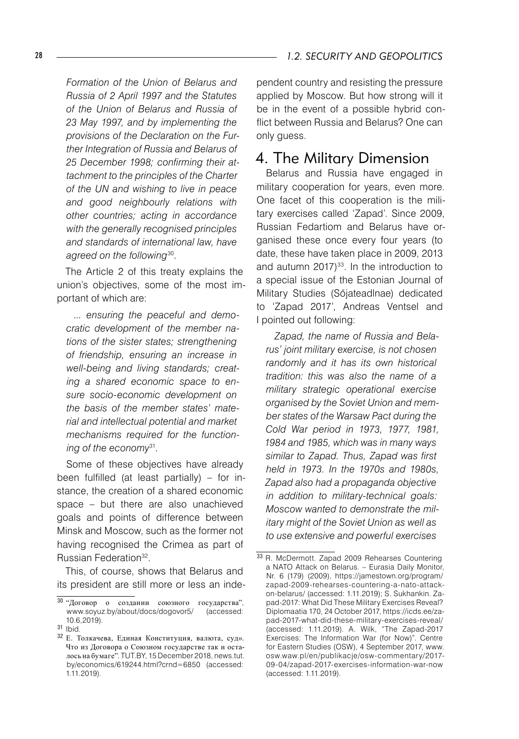*Formation of the Union of Belarus and Russia of 2 April 1997 and the Statutes of the Union of Belarus and Russia of 23 May 1997, and by implementing the provisions of the Declaration on the Further Integration of Russia and Belarus of 25 December 1998; confirming their attachment to the principles of the Charter of the UN and wishing to live in peace and good neighbourly relations with other countries; acting in accordance with the generally recognised principles and standards of international law, have* 

The Article 2 of this treaty explains the union's objectives, some of the most important of which are:

*agreed on the following*<sup>30</sup>*.*

*... ensuring the peaceful and democratic development of the member nations of the sister states; strengthening of friendship, ensuring an increase in well-being and living standards; creating a shared economic space to ensure socio-economic development on the basis of the member states' material and intellectual potential and market mechanisms required for the functioning of the economy*<sup>31</sup>*.*

Some of these objectives have already been fulfilled (at least partially) – for instance, the creation of a shared economic space – but there are also unachieved goals and points of difference between Minsk and Moscow, such as the former not having recognised the Crimea as part of Russian Federation<sup>32</sup>.

This, of course, shows that Belarus and its president are still more or less an independent country and resisting the pressure applied by Moscow. But how strong will it be in the event of a possible hybrid conflict between Russia and Belarus? One can only guess.

### 4. The Military Dimension

Belarus and Russia have engaged in military cooperation for years, even more. One facet of this cooperation is the military exercises called 'Zapad'. Since 2009, Russian Fedartiom and Belarus have organised these once every four years (to date, these have taken place in 2009, 2013 and autumn  $2017$ <sup>33</sup>. In the introduction to a special issue of the Estonian Journal of Military Studies (Sőjateadlnae) dedicated to 'Zapad 2017', Andreas Ventsel and I pointed out following:

*Zapad, the name of Russia and Belarus' joint military exercise, is not chosen randomly and it has its own historical tradition: this was also the name of a military strategic operational exercise organised by the Soviet Union and member states of the Warsaw Pact during the Cold War period in 1973, 1977, 1981, 1984 and 1985, which was in many ways similar to Zapad. Thus, Zapad was first held in 1973. In the 1970s and 1980s, Zapad also had a propaganda objective in addition to military-technical goals: Moscow wanted to demonstrate the military might of the Soviet Union as well as to use extensive and powerful exercises* 

<sup>30</sup> "Договор о создании союзного государства", www.soyuz.by/about/docs/dogovor5/ 10.6,2019).

<sup>31</sup> Ibid.

<sup>32</sup> E. Толкачева, Единая Конституция, валюта, суд». Что из Договора о Союзном государстве так и осталось на бумаге". TUT.BY, 15 December 2018, news.tut. by/economics/619244.html?crnd=6850 (accessed: 1.11.2019).

<sup>33</sup> R. McDermott. Zapad 2009 Rehearses Countering a NATO Attack on Belarus. – Eurasia Daily Monitor, Nr. 6 (179) (2009), https://jamestown.org/program/ zapad-2009-rehearses-countering-a-nato-attackon-belarus/ (accessed: 1.11.2019); S. Sukhankin. Zapad-2017: What Did These Military Exercises Reveal? Diplomaatia 170, 24 October 2017, https://icds.ee/zapad-2017-what-did-these-military-exercises-reveal/ (accessed: 1.11.2019). A. Wilk, "The Zapad-2017 Exercises: The Information War (for Now)". Centre for Eastern Studies (OSW), 4 September 2017, www. osw.waw.pl/en/publikacje/osw-commentary/2017- 09-04/zapad-2017-exercises-information-war-now (accessed: 1.11.2019).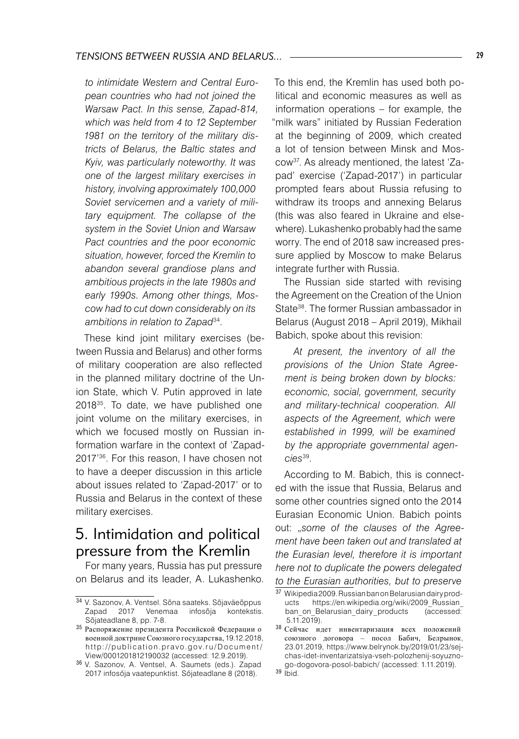*to intimidate Western and Central European countries who had not joined the Warsaw Pact. In this sense, Zapad-814, which was held from 4 to 12 September 1981 on the territory of the military districts of Belarus, the Baltic states and Kyiv, was particularly noteworthy. It was one of the largest military exercises in history, involving approximately 100,000 Soviet servicemen and a variety of military equipment. The collapse of the system in the Soviet Union and Warsaw Pact countries and the poor economic situation, however, forced the Kremlin to abandon several grandiose plans and ambitious projects in the late 1980s and early 1990s. Among other things, Moscow had to cut down considerably on its ambitions in relation to Zapad*34.

These kind joint military exercises (between Russia and Belarus) and other forms of military cooperation are also reflected in the planned military doctrine of the Union State, which V. Putin approved in late 201835. To date, we have published one joint volume on the military exercises, in which we focused mostly on Russian information warfare in the context of 'Zapad-2017'36. For this reason, I have chosen not to have a deeper discussion in this article about issues related to 'Zapad-2017' or to Russia and Belarus in the context of these military exercises.

#### 5. Intimidation and political pressure from the Kremlin

For many years, Russia has put pressure on Belarus and its leader, A. Lukashenko. To this end, the Kremlin has used both political and economic measures as well as information operations – for example, the 'milk wars" initiated by Russian Federation at the beginning of 2009, which created a lot of tension between Minsk and Moscow37. As already mentioned, the latest 'Zapad' exercise ('Zapad-2017') in particular prompted fears about Russia refusing to withdraw its troops and annexing Belarus (this was also feared in Ukraine and elsewhere). Lukashenko probably had the same worry. The end of 2018 saw increased pressure applied by Moscow to make Belarus integrate further with Russia.

The Russian side started with revising the Agreement on the Creation of the Union State38. The former Russian ambassador in Belarus (August 2018 – April 2019), Mikhail Babich, spoke about this revision:

*At present, the inventory of all the provisions of the Union State Agreement is being broken down by blocks: economic, social, government, security and military-technical cooperation. All aspects of the Agreement, which were established in 1999, will be examined by the appropriate governmental agencies*39.

According to M. Babich, this is connected with the issue that Russia, Belarus and some other countries signed onto the 2014 Eurasian Economic Union. Babich points out: "*some of the clauses of the Agreement have been taken out and translated at the Eurasian level, therefore it is important here not to duplicate the powers delegated to the Eurasian authorities, but to preserve* 

<sup>34</sup> V. Sazonov, A. Ventsel. Sōna saateks. Sōjaväeōppus Zapad 2017 Venemaa infosōja kontekstis. Sōjateadlane 8, pp. 7-8.

<sup>35</sup> Распоряжение президента Российской Федерации о военной доктрине Союзного государства, 19.12.2018, http://publication.pravo.gov.ru/Document/ View/0001201812190032 (accessed: 12.9.2019).

<sup>36</sup> V. Sazonov, A. Ventsel, A. Saumets (eds.). Zapad 2017 infosőja vaatepunktist. Sőjateadlane 8 (2018).

<sup>37</sup> Wikipedia 2009. Russian ban on Belarusian dairy products https://en.wikipedia.org/wiki/2009\_Russian\_<br>ban on Belarusian dairy products (accessed: ban\_on\_Belarusian\_dairy\_products 5.11.2019).

<sup>38</sup> Сейчас идет инвентаризация всех положений союзного договора – посол Бабич, Белрынок, 23.01.2019, https://www.belrynok.by/2019/01/23/sejchas-idet-inventarizatsiya-vseh-polozhenij-soyuznogo-dogovora-posol-babich/ (accessed: 1.11.2019).

 $39$  lbid.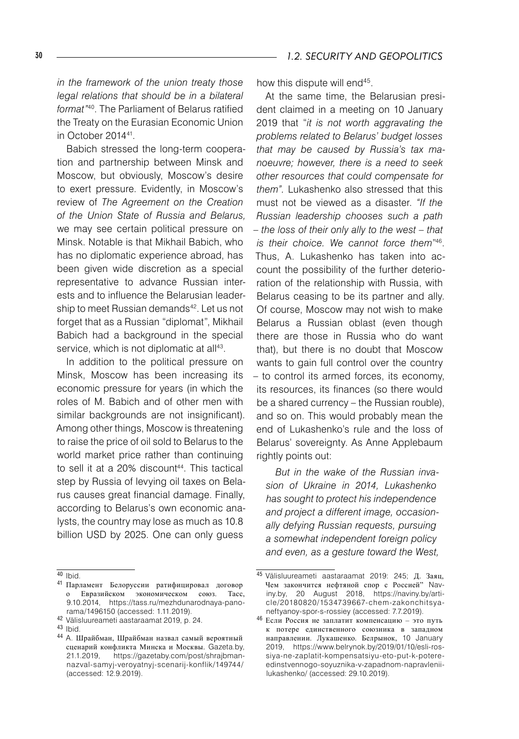*in the framework of the union treaty those legal relations that should be in a bilateral format"*40. The Parliament of Belarus ratified the Treaty on the Eurasian Economic Union in October 201441.

Babich stressed the long-term cooperation and partnership between Minsk and Moscow, but obviously, Moscow's desire to exert pressure. Evidently, in Moscow's review of *The Agreement on the Creation of the Union State of Russia and Belarus,* we may see certain political pressure on Minsk. Notable is that Mikhail Babich, who has no diplomatic experience abroad, has been given wide discretion as a special representative to advance Russian interests and to influence the Belarusian leadership to meet Russian demands<sup>42</sup>. Let us not forget that as a Russian "diplomat", Mikhail Babich had a background in the special service, which is not diplomatic at all<sup>43</sup>.

In addition to the political pressure on Minsk, Moscow has been increasing its economic pressure for years (in which the roles of M. Babich and of other men with similar backgrounds are not insignificant). Among other things, Moscow is threatening to raise the price of oil sold to Belarus to the world market price rather than continuing to sell it at a 20% discount<sup>44</sup>. This tactical step by Russia of levying oil taxes on Belarus causes great financial damage. Finally, according to Belarus's own economic analysts, the country may lose as much as 10.8 billion USD by 2025. One can only guess

how this dispute will end<sup>45</sup>.

At the same time, the Belarusian president claimed in a meeting on 10 January 2019 that "*it is not worth aggravating the problems related to Belarus' budget losses that may be caused by Russia's tax manoeuvre; however, there is a need to seek other resources that could compensate for them".* Lukashenko also stressed that this must not be viewed as a disaster. *"If the Russian leadership chooses such a path – the loss of their only ally to the west – that is their choice. We cannot force them*" 46. Thus, A. Lukashenko has taken into account the possibility of the further deterioration of the relationship with Russia, with Belarus ceasing to be its partner and ally. Of course, Moscow may not wish to make Belarus a Russian oblast (even though there are those in Russia who do want that), but there is no doubt that Moscow wants to gain full control over the country – to control its armed forces, its economy, its resources, its finances (so there would be a shared currency – the Russian rouble), and so on. This would probably mean the end of Lukashenko's rule and the loss of Belarus' sovereignty. As Anne Applebaum rightly points out:

*But in the wake of the Russian invasion of Ukraine in 2014, Lukashenko has sought to protect his independence and project a different image, occasionally defying Russian requests, pursuing a somewhat independent foreign policy and even, as a gesture toward the West,* 

 $40$  Ibid.

<sup>41</sup> Парламент Белоруссии ратифицировал договор о Евразийском экономическом союз. Тасс, 9.10.2014, https://tass.ru/mezhdunarodnaya-panorama/1496150 (accessed: 1.11.2019).

<sup>42</sup> Välisluureameti aastaraamat 2019, p. 24.

<sup>43</sup> Ibid.

<sup>44</sup> A. Шрайбман, Шрайбман назвал самый вероятный сценарий конфликта Минска и Москвы. Gazeta.by, 21.1.2019, https://gazetaby.com/post/shrajbmannazval-samyj-veroyatnyj-scenarij-konflik/149744/ (accessed: 12.9.2019).

<sup>45</sup> Välisluureameti aastaraamat 2019: 245; Д. Заяц, Чем закончится нефтяной спор с Россией" Naviny.by, 20 August 2018, https://naviny.by/article/20180820/1534739667-chem-zakonchitsyaneftyanoy-spor-s-rossiey (accessed: 7.7.2019).

<sup>46</sup> Если Россия не заплатит компенсацию – это путь к потере единственного союзника в западном направлении. Лукашенко. Белрынок, 10 January 2019, https://www.belrynok.by/2019/01/10/esli-rossiya-ne-zaplatit-kompensatsiyu-eto-put-k-potereedinstvennogo-soyuznika-v-zapadnom-napravleniilukashenko/ (accessed: 29.10.2019).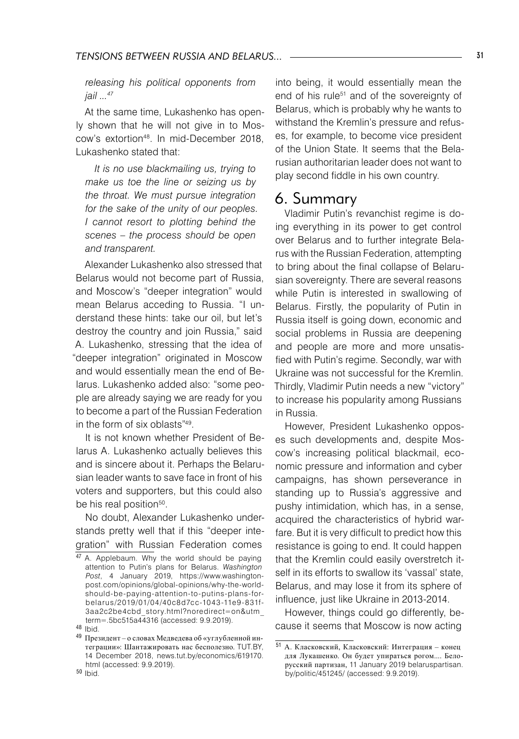*releasing his political opponents from jail ...47*

At the same time, Lukashenko has openly shown that he will not give in to Moscow's extortion48. In mid-December 2018, Lukashenko stated that:

*It is no use blackmailing us, trying to make us toe the line or seizing us by the throat. We must pursue integration for the sake of the unity of our peoples. I cannot resort to plotting behind the scenes – the process should be open and transparent.*

Alexander Lukashenko also stressed that Belarus would not become part of Russia, and Moscow's "deeper integration" would mean Belarus acceding to Russia. "I understand these hints: take our oil, but let's destroy the country and join Russia," said A. Lukashenko, stressing that the idea of "deeper integration" originated in Moscow and would essentially mean the end of Belarus. Lukashenko added also: "some people are already saying we are ready for you to become a part of the Russian Federation in the form of six oblasts"49.

It is not known whether President of Belarus A. Lukashenko actually believes this and is sincere about it. Perhaps the Belarusian leader wants to save face in front of his voters and supporters, but this could also be his real position<sup>50</sup>.

No doubt, Alexander Lukashenko understands pretty well that if this "deeper integration" with Russian Federation comes

into being, it would essentially mean the end of his rule<sup>51</sup> and of the sovereignty of Belarus, which is probably why he wants to withstand the Kremlin's pressure and refuses, for example, to become vice president of the Union State. It seems that the Belarusian authoritarian leader does not want to play second fiddle in his own country.

#### 6. Summary

Vladimir Putin's revanchist regime is doing everything in its power to get control over Belarus and to further integrate Belarus with the Russian Federation, attempting to bring about the final collapse of Belarusian sovereignty. There are several reasons while Putin is interested in swallowing of Belarus. Firstly, the popularity of Putin in Russia itself is going down, economic and social problems in Russia are deepening and people are more and more unsatisfied with Putin's regime. Secondly, war with Ukraine was not successful for the Kremlin. Thirdly, Vladimir Putin needs a new "victory" to increase his popularity among Russians in Russia.

However, President Lukashenko opposes such developments and, despite Moscow's increasing political blackmail, economic pressure and information and cyber campaigns, has shown perseverance in standing up to Russia's aggressive and pushy intimidation, which has, in a sense, acquired the characteristics of hybrid warfare. But it is very difficult to predict how this resistance is going to end. It could happen that the Kremlin could easily overstretch itself in its efforts to swallow its 'vassal' state, Belarus, and may lose it from its sphere of influence, just like Ukraine in 2013-2014.

However, things could go differently, because it seems that Moscow is now acting

<sup>47</sup> A. Applebaum. Why the world should be paying attention to Putin's plans for Belarus. *Washington Post*, 4 January 2019, https://www.washingtonpost.com/opinions/global-opinions/why-the-worldshould-be-paying-attention-to-putins-plans-forbelarus/2019/01/04/40c8d7cc-1043-11e9-831f-3aa2c2be4cbd\_story.html?noredirect=on&utm\_ term=.5bc515a44316 (accessed: 9.9.2019).

<sup>48</sup> Ibid.

<sup>49</sup> Президент – о словах Медведева об «углубленной интеграции»: Шантажировать нас бесполезно. TUT.BY, 14 December 2018, news.tut.by/economics/619170. html (accessed: 9.9.2019).

<sup>50</sup> Ibid.

<sup>51</sup> A. Класковский, Класковский: Интеграция – конец для Лукашенко. Он будет упираться рогом.... Белорусский партизан, 11 January 2019 belaruspartisan. by/politic/451245/ (accessed: 9.9.2019).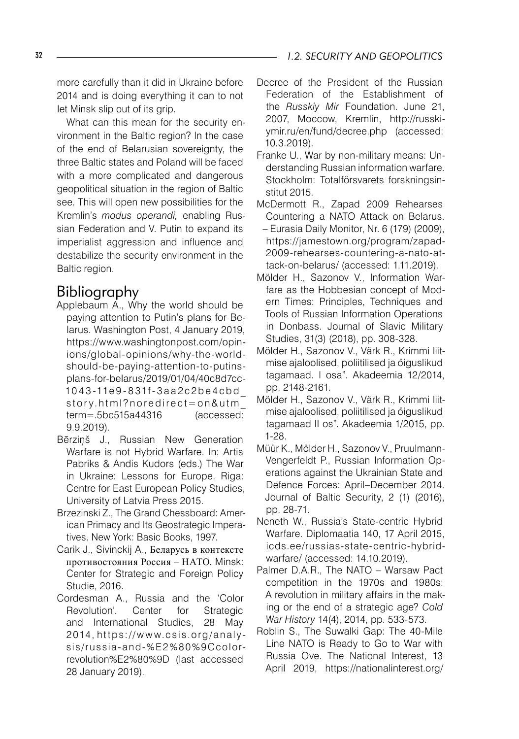more carefully than it did in Ukraine before 2014 and is doing everything it can to not let Minsk slip out of its grip.

What can this mean for the security environment in the Baltic region? In the case of the end of Belarusian sovereignty, the three Baltic states and Poland will be faced with a more complicated and dangerous geopolitical situation in the region of Baltic see. This will open new possibilities for the Kremlin's *modus operandi,* enabling Russian Federation and V. Putin to expand its imperialist aggression and influence and destabilize the security environment in the Baltic region.

## Bibliography

- Applebaum A., Why the world should be paying attention to Putin's plans for Belarus. Washington Post, 4 January 2019, https://www.washingtonpost.com/opinions/global-opinions/why-the-worldshould-be-paying-attention-to-putinsplans-for-belarus/2019/01/04/40c8d7cc-10 4 3 -11e 9 - 8 31f - 3 a a 2 c 2 b e 4 c b d \_  $story.html?$  n or edirect = on & utm term=.5bc515a44316 (accessed: 9.9.2019).
- Bērziņš J., Russian New Generation Warfare is not Hybrid Warfare. In: Artis Pabriks & Andis Kudors (eds.) The War in Ukraine: Lessons for Europe. Riga: Centre for East European Policy Studies, University of Latvia Press 2015.
- Brzezinski Z., The Grand Chessboard: American Primacy and Its Geostrategic Imperatives. New York: Basic Books, 1997.
- Carik J., Sivinckij A., Беларусь в контексте противостояния Россия – НАТО. Minsk: Center for Strategic and Foreign Policy Studie, 2016.
- Cordesman A., Russia and the 'Color Revolution'. Center for Strategic and International Studies, 28 May 2014, https://www.csis.org/analysis/russia-and-%E 2%8 0%9Ccolorrevolution%E2%80%9D (last accessed 28 January 2019).
- Decree of the President of the Russian Federation of the Establishment of the *Russkiy Mir* Foundation. June 21, 2007, Moccow, Kremlin, http://russkiymir.ru/en/fund/decree.php (accessed: 10.3.2019).
- Franke U., War by non-military means: Understanding Russian information warfare. Stockholm: Totalförsvarets forskningsinstitut 2015.
- McDermott R., Zapad 2009 Rehearses Countering a NATO Attack on Belarus.
- Eurasia Daily Monitor, Nr. 6 (179) (2009), https://jamestown.org/program/zapad-2009-rehearses-countering-a-nato-attack-on-belarus/ (accessed: 1.11.2019).
- Mölder H., Sazonov V., Information Warfare as the Hobbesian concept of Modern Times: Principles, Techniques and Tools of Russian Information Operations in Donbass. Journal of Slavic Military Studies, 31(3) (2018), pp. 308-328.
- Mölder H., Sazonov V., Värk R., Krimmi liitmise ajaloolised, poliitilised ja őiguslikud tagamaad. I osa". Akadeemia 12/2014, pp. 2148-2161.
- Mölder H., Sazonov V., Värk R., Krimmi liitmise ajaloolised, poliitilised ja őiguslikud tagamaad II os". Akadeemia 1/2015, pp. 1-28.
- Müür K., Mölder H., Sazonov V., Pruulmann-Vengerfeldt P., Russian Information Operations against the Ukrainian State and Defence Forces: April–December 2014. Journal of Baltic Security, 2 (1) (2016), pp. 28-71.
- Neneth W., Russia's State-centric Hybrid Warfare. Diplomaatia 140, 17 April 2015, icds.ee/russias-state-centric-hybridwarfare/ (accessed: 14.10.2019).
- Palmer D.A.R., The NATO Warsaw Pact competition in the 1970s and 1980s: A revolution in military affairs in the making or the end of a strategic age? *Cold War History* 14(4), 2014, pp. 533-573.
- Roblin S., The Suwalki Gap: The 40-Mile Line NATO is Ready to Go to War with Russia Ove. The National Interest, 13 April 2019, https://nationalinterest.org/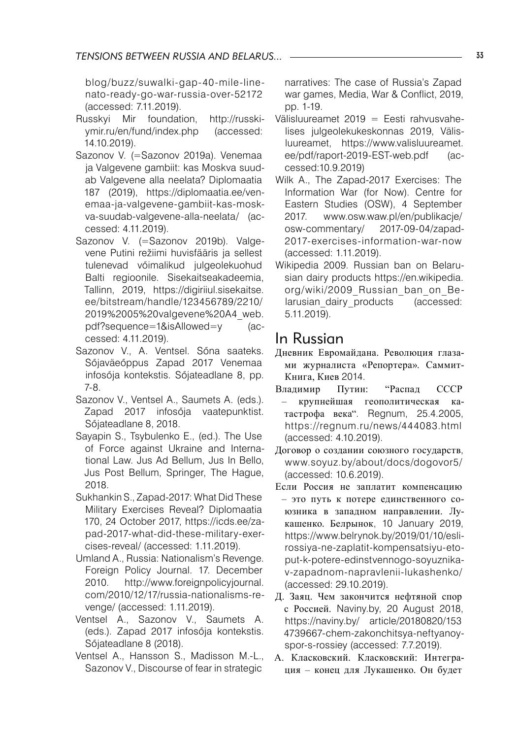blog/buzz/suwalki-gap-40-mile-linenato-ready-go-war-russia-over-52172 (accessed: 7.11.2019).

- Russkyi Mir foundation, http://russkiymir.ru/en/fund/index.php (accessed: 14.10.2019).
- Sazonov V. (=Sazonov 2019a). Venemaa ja Valgevene gambiit: kas Moskva suudab Valgevene alla neelata? Diplomaatia 187 (2019), https://diplomaatia.ee/venemaa-ja-valgevene-gambiit-kas-moskva-suudab-valgevene-alla-neelata/ (accessed: 4.11.2019).
- Sazonov V. (=Sazonov 2019b). Valgevene Putini režiimi huvisfääris ja sellest tulenevad vőimalikud julgeolekuohud Balti regioonile. Sisekaitseakadeemia, Tallinn, 2019, https://digiriiul.sisekaitse. ee/bitstream/handle/123456789/2210/ 2019%2005%20valgevene%20A4\_web. pdf?sequence=1&isAllowed=y (accessed: 4.11.2019).
- Sazonov V., A. Ventsel. Sőna saateks. Sőjaväeőppus Zapad 2017 Venemaa infosőja kontekstis. Sőjateadlane 8, pp. 7-8.
- Sazonov V., Ventsel A., Saumets A. (eds.). Zapad 2017 infosőja vaatepunktist. Sőjateadlane 8, 2018.
- Sayapin S., Tsybulenko E., (ed.). The Use of Force against Ukraine and International Law. Jus Ad Bellum, Jus In Bello, Jus Post Bellum, Springer, The Hague, 2018.
- Sukhankin S., Zapad-2017: What Did These Military Exercises Reveal? Diplomaatia 170, 24 October 2017, https://icds.ee/zapad-2017-what-did-these-military-exercises-reveal/ (accessed: 1.11.2019).
- Umland A., Russia: Nationalism's Revenge. Foreign Policy Journal. 17. December 2010. http://www.foreignpolicyjournal. com/2010/12/17/russia-nationalisms-revenge/ (accessed: 1.11.2019).
- Ventsel A., Sazonov V., Saumets A. (eds.). Zapad 2017 infosőja kontekstis. Sőjateadlane 8 (2018).
- Ventsel A., Hansson S., Madisson M.-L., Sazonov V., Discourse of fear in strategic

narratives: The case of Russia's Zapad war games, Media, War & Conflict, 2019, pp. 1-19.

- Välisluureamet 2019 = Eesti rahvusvahelises julgeolekukeskonnas 2019, Välisluureamet, https://www.valisluureamet. ee/pdf/raport-2019-EST-web.pdf (accessed:10.9.2019)
- Wilk A., The Zapad-2017 Exercises: The Information War (for Now). Centre for Eastern Studies (OSW), 4 September 2017. www.osw.waw.pl/en/publikacje/ osw-commentary/ 2017-09-04/zapad-2017-exercises-information-war-now (accessed: 1.11.2019).
- Wikipedia 2009. Russian ban on Belarusian dairy products https://en.wikipedia. org/wiki/2009 Russian ban on Belarusian dairy products (accessed: 5.11.2019).

### In Russian

- Дневник Евромайдана. Революция глазами журналиста «Репортера». Саммит-Книга, Киев 2014.
- Владимир Путин: "Распад СССР – крупнейшая геополитическая катастрофа века". Regnum, 25.4.2005, https://regnum.ru/news/444083.html (accessed: 4.10.2019).
- Договор о создании союзного государств, www.soyuz.by/about/docs/dogovor5/ (accessed: 10.6.2019).
- Если Россия не заплатит компенсацию – это путь к потере единственного союзника в западном направлении. Лукашенко. Белрынок, 10 January 2019, https://www.belrynok.by/2019/01/10/eslirossiya-ne-zaplatit-kompensatsiyu-etoput-k-potere-edinstvennogo-soyuznikav-zapadnom-napravlenii-lukashenko/ (accessed: 29.10.2019).
- Д. Заяц. Чем закончится нефтяной спор с Россией. Naviny.by, 20 August 2018, https://naviny.by/ article/20180820/153 4739667-chem-zakonchitsya-neftyanoyspor-s-rossiey (accessed: 7.7.2019).
- A. Класковский. Класковский: Интеграция – конец для Лукашенко. Он будет